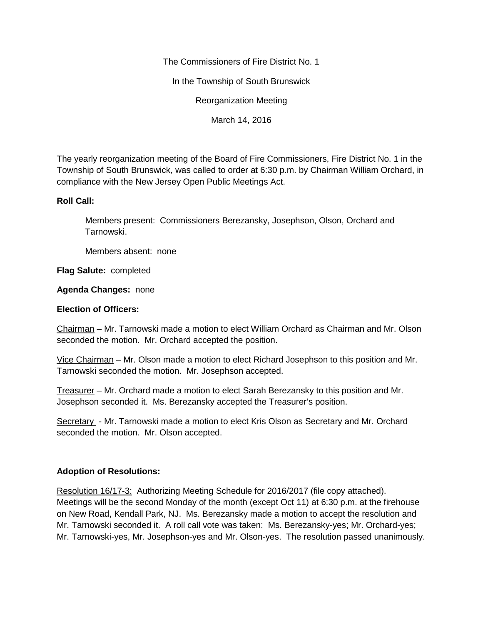The Commissioners of Fire District No. 1

In the Township of South Brunswick

Reorganization Meeting

March 14, 2016

The yearly reorganization meeting of the Board of Fire Commissioners, Fire District No. 1 in the Township of South Brunswick, was called to order at 6:30 p.m. by Chairman William Orchard, in compliance with the New Jersey Open Public Meetings Act.

## **Roll Call:**

Members present: Commissioners Berezansky, Josephson, Olson, Orchard and Tarnowski.

Members absent: none

**Flag Salute:** completed

## **Agenda Changes:** none

## **Election of Officers:**

Chairman – Mr. Tarnowski made a motion to elect William Orchard as Chairman and Mr. Olson seconded the motion. Mr. Orchard accepted the position.

Vice Chairman – Mr. Olson made a motion to elect Richard Josephson to this position and Mr. Tarnowski seconded the motion. Mr. Josephson accepted.

Treasurer – Mr. Orchard made a motion to elect Sarah Berezansky to this position and Mr. Josephson seconded it. Ms. Berezansky accepted the Treasurer's position.

Secretary - Mr. Tarnowski made a motion to elect Kris Olson as Secretary and Mr. Orchard seconded the motion. Mr. Olson accepted.

## **Adoption of Resolutions:**

Resolution 16/17-3: Authorizing Meeting Schedule for 2016/2017 (file copy attached). Meetings will be the second Monday of the month (except Oct 11) at 6:30 p.m. at the firehouse on New Road, Kendall Park, NJ. Ms. Berezansky made a motion to accept the resolution and Mr. Tarnowski seconded it. A roll call vote was taken: Ms. Berezansky-yes; Mr. Orchard-yes; Mr. Tarnowski-yes, Mr. Josephson-yes and Mr. Olson-yes. The resolution passed unanimously.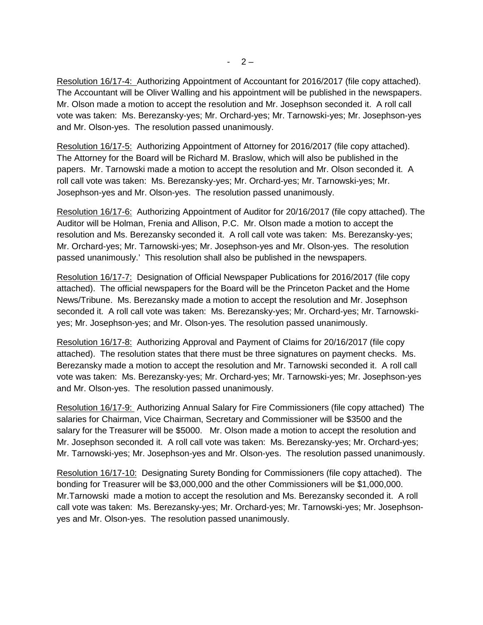Resolution 16/17-4: Authorizing Appointment of Accountant for 2016/2017 (file copy attached). The Accountant will be Oliver Walling and his appointment will be published in the newspapers. Mr. Olson made a motion to accept the resolution and Mr. Josephson seconded it. A roll call vote was taken: Ms. Berezansky-yes; Mr. Orchard-yes; Mr. Tarnowski-yes; Mr. Josephson-yes and Mr. Olson-yes. The resolution passed unanimously.

Resolution 16/17-5: Authorizing Appointment of Attorney for 2016/2017 (file copy attached). The Attorney for the Board will be Richard M. Braslow, which will also be published in the papers. Mr. Tarnowski made a motion to accept the resolution and Mr. Olson seconded it. A roll call vote was taken: Ms. Berezansky-yes; Mr. Orchard-yes; Mr. Tarnowski-yes; Mr. Josephson-yes and Mr. Olson-yes. The resolution passed unanimously.

Resolution 16/17-6: Authorizing Appointment of Auditor for 20/16/2017 (file copy attached). The Auditor will be Holman, Frenia and Allison, P.C. Mr. Olson made a motion to accept the resolution and Ms. Berezansky seconded it. A roll call vote was taken: Ms. Berezansky-yes; Mr. Orchard-yes; Mr. Tarnowski-yes; Mr. Josephson-yes and Mr. Olson-yes. The resolution passed unanimously.' This resolution shall also be published in the newspapers.

Resolution 16/17-7: Designation of Official Newspaper Publications for 2016/2017 (file copy attached). The official newspapers for the Board will be the Princeton Packet and the Home News/Tribune. Ms. Berezansky made a motion to accept the resolution and Mr. Josephson seconded it. A roll call vote was taken: Ms. Berezansky-yes; Mr. Orchard-yes; Mr. Tarnowski yes; Mr. Josephson-yes; and Mr. Olson-yes. The resolution passed unanimously.

Resolution 16/17-8: Authorizing Approval and Payment of Claims for 20/16/2017 (file copy attached). The resolution states that there must be three signatures on payment checks. Ms. Berezansky made a motion to accept the resolution and Mr. Tarnowski seconded it. A roll call vote was taken: Ms. Berezansky-yes; Mr. Orchard-yes; Mr. Tarnowski-yes; Mr. Josephson-yes and Mr. Olson-yes. The resolution passed unanimously.

Resolution 16/17-9: Authorizing Annual Salary for Fire Commissioners (file copy attached) The salaries for Chairman, Vice Chairman, Secretary and Commissioner will be \$3500 and the salary for the Treasurer will be \$5000. Mr. Olson made a motion to accept the resolution and Mr. Josephson seconded it. A roll call vote was taken: Ms. Berezansky-yes; Mr. Orchard-yes; Mr. Tarnowski-yes; Mr. Josephson-yes and Mr. Olson-yes. The resolution passed unanimously.

Resolution 16/17-10: Designating Surety Bonding for Commissioners (file copy attached). The bonding for Treasurer will be \$3,000,000 and the other Commissioners will be \$1,000,000. Mr.Tarnowski made a motion to accept the resolution and Ms. Berezansky seconded it. A roll call vote was taken: Ms. Berezansky-yes; Mr. Orchard-yes; Mr. Tarnowski-yes; Mr. Josephson yes and Mr. Olson-yes. The resolution passed unanimously.